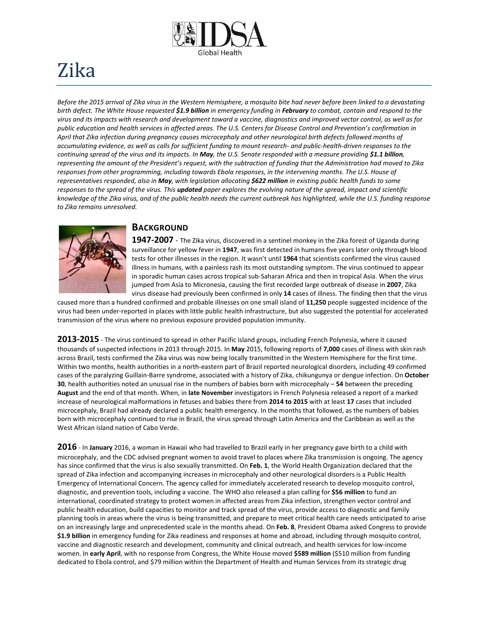

# Zika

*Before the 2015 arrival of Zika virus in the Western Hemisphere, a mosquito bite had never before been linked to a devastating birth defect. The White House requested \$1.9 billion in emergency funding in February to combat, contain and respond to the virus and its impacts with research and development toward a vaccine, diagnostics and improved vector control, as well as for public education and health services in affected areas. The U.S. Centers for Disease Control and Prevention's confirmation in April that Zika infection during pregnancy causes microcephaly and other neurological birth defects followed months of accumulating evidence, as well as calls for sufficient funding to mount research- and public-health-driven responses to the continuing spread of the virus and its impacts. In May, the U.S. Senate responded with a measure providing \$1.1 billion, representing the amount of the President's request, with the subtraction of funding that the Administration had moved to Zika responses from other programming, including towards Ebola responses, in the intervening months. The U.S. House of representatives responded, also in May, with legislation allocating \$622 million in existing public health funds to some responses to the spread of the virus. This updated paper explores the evolving nature of the spread, impact and scientific knowledge of the Zika virus, and of the public health needs the current outbreak has highlighted, while the U.S. funding response to Zika remains unresolved.*



## **BACKGROUND**

**1947-2007** - The Zika virus, discovered in a sentinel monkey in the Zika forest of Uganda during surveillance for yellow fever in **1947**, was first detected in humans five years later only through blood tests for other illnesses in the region. It wasn't until **1964** that scientists confirmed the virus caused illness in humans, with a painless rash its most outstanding symptom. The virus continued to appear in sporadic human cases across tropical sub-Saharan Africa and then in tropical Asia. When the virus jumped from Asia to Micronesia, causing the first recorded large outbreak of disease in **2007**, Zika virus disease had previously been confirmed in only **14** cases of illness. The finding then that the virus

caused more than a hundred confirmed and probable illnesses on one small island of **11,250** people suggested incidence of the virus had been under-reported in places with little public health infrastructure, but also suggested the potential for accelerated transmission of the virus where no previous exposure provided population immunity.

**2013-2015** - The virus continued to spread in other Pacific island groups, including French Polynesia, where it caused thousands of suspected infections in 2013 through 2015. In **May** 2015, following reports of **7,000** cases of illness with skin rash across Brazil, tests confirmed the Zika virus was now being locally transmitted in the Western Hemisphere for the first time. Within two months, health authorities in a north-eastern part of Brazil reported neurological disorders, including 49 confirmed cases of the paralyzing Guillain-Barre syndrome, associated with a history of Zika, chikungunya or dengue infection. On **October 30**, health authorities noted an unusual rise in the numbers of babies born with microcephaly – **54** between the preceding **August** and the end of that month. When, in **late November** investigators in French Polynesia released a report of a marked increase of neurological malformations in fetuses and babies there from **2014 to 2015** with at least **17** cases that included microcephaly, Brazil had already declared a public health emergency. In the months that followed, as the numbers of babies born with microcephaly continued to rise in Brazil, the virus spread through Latin America and the Caribbean as well as the West African island nation of Cabo Verde.

**2016** - In **January** 2016, a woman in Hawaii who had travelled to Brazil early in her pregnancy gave birth to a child with microcephaly, and the CDC advised pregnant women to avoid travel to places where Zika transmission is ongoing. The agency has since confirmed that the virus is also sexually transmitted. On **Feb. 1**, the World Health Organization declared that the spread of Zika infection and accompanying increases in microcephaly and other neurological disorders is a Public Health Emergency of International Concern. The agency called for immediately accelerated research to develop mosquito control, diagnostic, and prevention tools, including a vaccine. The WHO also released a plan calling for **\$56 million** to fund an international, coordinated strategy to protect women in affected areas from Zika infection, strengthen vector control and public health education, build capacities to monitor and track spread of the virus, provide access to diagnostic and family planning tools in areas where the virus is being transmitted, and prepare to meet critical health care needs anticipated to arise on an increasingly large and unprecedented scale in the months ahead. On **Feb. 8**, President Obama asked Congress to provide **\$1.9 billion** in emergency funding for Zika readiness and responses at home and abroad, including through mosquito control, vaccine and diagnostic research and development, community and clinical outreach, and health services for low-income women. In **early April**, with no response from Congress, the White House moved **\$589 million** (\$510 million from funding dedicated to Ebola control, and \$79 million within the Department of Health and Human Services from its strategic drug